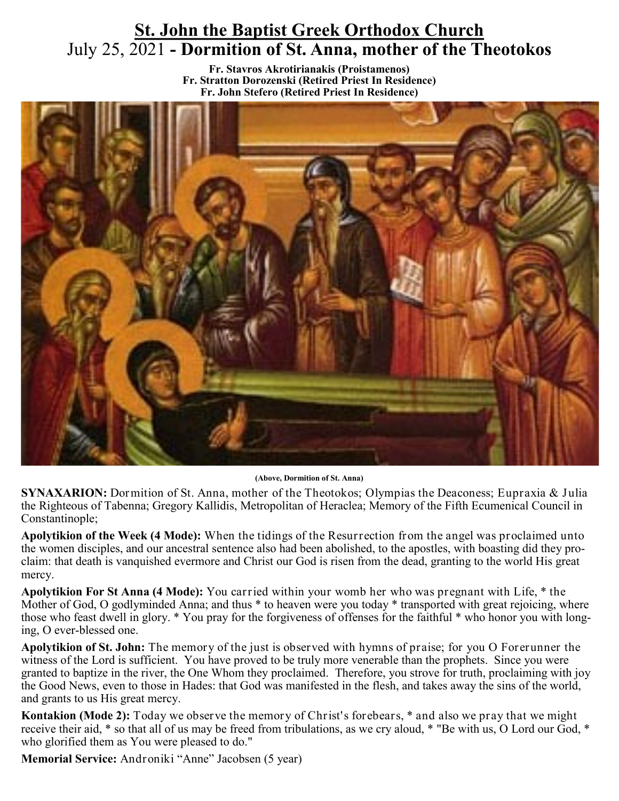### **St. John the Baptist Greek Orthodox Church** July 25, 2021 **- Dormition of St. Anna, mother of the Theotokos**

**Fr. Stavros Akrotirianakis (Proistamenos) Fr. Stratton Dorozenski (Retired Priest In Residence) Fr. John Stefero (Retired Priest In Residence)**



#### **(Above, Dormition of St. Anna)**

**SYNAXARION:** Dormition of St. Anna, mother of the Theotokos; Olympias the Deaconess; Eupraxia & Julia the Righteous of Tabenna; Gregory Kallidis, Metropolitan of Heraclea; Memory of the Fifth Ecumenical Council in Constantinople;

**Apolytikion of the Week (4 Mode):** When the tidings of the Resurrection from the angel was proclaimed unto the women disciples, and our ancestral sentence also had been abolished, to the apostles, with boasting did they proclaim: that death is vanquished evermore and Christ our God is risen from the dead, granting to the world His great mercy.

**Apolytikion For St Anna (4 Mode):** You carried within your womb her who was pregnant with Life, \* the Mother of God, O godlyminded Anna; and thus \* to heaven were you today \* transported with great rejoicing, where those who feast dwell in glory. \* You pray for the forgiveness of offenses for the faithful \* who honor you with longing, O ever-blessed one.

**Apolytikion of St. John:** The memory of the just is observed with hymns of praise; for you O Forerunner the witness of the Lord is sufficient. You have proved to be truly more venerable than the prophets. Since you were granted to baptize in the river, the One Whom they proclaimed. Therefore, you strove for truth, proclaiming with joy the Good News, even to those in Hades: that God was manifested in the flesh, and takes away the sins of the world, and grants to us His great mercy.

**Kontakion (Mode 2):** Today we observe the memory of Christ's forebears, \* and also we pray that we might receive their aid, \* so that all of us may be freed from tribulations, as we cry aloud, \* "Be with us, O Lord our God, \* who glorified them as You were pleased to do."

**Memorial Service:** Androniki "Anne" Jacobsen (5 year)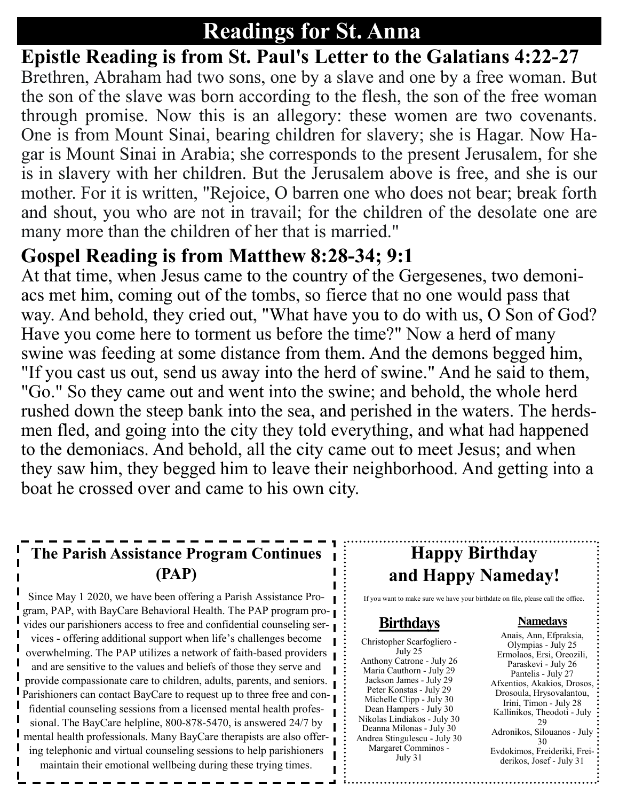## **Readings for St. Anna**

### **Epistle Reading is from St. Paul's Letter to the Galatians 4:22-27** Brethren, Abraham had two sons, one by a slave and one by a free woman. But the son of the slave was born according to the flesh, the son of the free woman through promise. Now this is an allegory: these women are two covenants. One is from Mount Sinai, bearing children for slavery; she is Hagar. Now Hagar is Mount Sinai in Arabia; she corresponds to the present Jerusalem, for she is in slavery with her children. But the Jerusalem above is free, and she is our mother. For it is written, "Rejoice, O barren one who does not bear; break forth and shout, you who are not in travail; for the children of the desolate one are many more than the children of her that is married."

## **Gospel Reading is from Matthew 8:28-34; 9:1**

At that time, when Jesus came to the country of the Gergesenes, two demoniacs met him, coming out of the tombs, so fierce that no one would pass that way. And behold, they cried out, "What have you to do with us, O Son of God? Have you come here to torment us before the time?" Now a herd of many swine was feeding at some distance from them. And the demons begged him, "If you cast us out, send us away into the herd of swine." And he said to them, "Go." So they came out and went into the swine; and behold, the whole herd rushed down the steep bank into the sea, and perished in the waters. The herdsmen fled, and going into the city they told everything, and what had happened to the demoniacs. And behold, all the city came out to meet Jesus; and when they saw him, they begged him to leave their neighborhood. And getting into a boat he crossed over and came to his own city.

### **The Parish Assistance Program Continues (PAP)**

Since May 1 2020, we have been offering a Parish Assistance Program, PAP, with BayCare Behavioral Health. The PAP program provides our parishioners access to free and confidential counseling services - offering additional support when life's challenges become overwhelming. The PAP utilizes a network of faith-based providers and are sensitive to the values and beliefs of those they serve and provide compassionate care to children, adults, parents, and seniors. Parishioners can contact BayCare to request up to three free and confidential counseling sessions from a licensed mental health professional. The BayCare helpline, 800-878-5470, is answered 24/7 by mental health professionals. Many BayCare therapists are also offering telephonic and virtual counseling sessions to help parishioners maintain their emotional wellbeing during these trying times.

## **Happy Birthday and Happy Nameday!**

If you want to make sure we have your birthdate on file, please call the office.

#### **Birthdays**

Christopher Scarfogliero - July 25 Anthony Catrone - July 26 Maria Cauthorn - July 29 Jackson James - July 29 Peter Konstas - July 29 Michelle Clipp - July 30 Dean Hampers - July 30 Nikolas Lindiakos - July 30 Deanna Milonas - July 30 Andrea Stingulescu - July 30 Margaret Comminos - July 31

#### **Namedays**

Anais, Ann, Efpraksia, Olympias - July 25 Ermolaos, Ersi, Oreozili, Paraskevi - July 26 Pantelis - July 27 Afxentios, Akakios, Drosos, Drosoula, Hrysovalantou, Irini, Timon - July 28 Kallinikos, Theodoti - July 29 Adronikos, Silouanos - July 30 Evdokimos, Freideriki, Freiderikos, Josef - July 31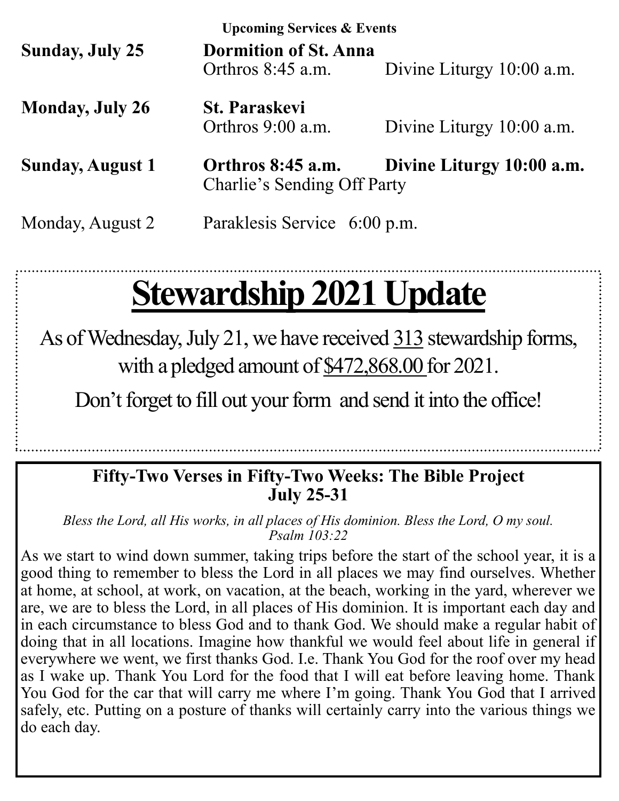| <b>Upcoming Services &amp; Events</b> |                                                   |                           |
|---------------------------------------|---------------------------------------------------|---------------------------|
| <b>Sunday, July 25</b>                | <b>Dormition of St. Anna</b><br>Orthros 8:45 a.m. | Divine Liturgy 10:00 a.m. |
| <b>Monday, July 26</b>                | <b>St. Paraskevi</b><br>Orthros 9:00 a.m.         | Divine Liturgy 10:00 a.m. |
| <b>Sunday, August 1</b>               | Orthros 8:45 a.m.<br>Charlie's Sending Off Party  | Divine Liturgy 10:00 a.m. |
| Monday, August 2                      | Paraklesis Service 6:00 p.m.                      |                           |

# **Stewardship 2021 Update**

As of Wednesday, July 21, we have received 313 stewardship forms, with a pledged amount of \$472,868.00 for 2021.

Don't forget to fill out your form and send it into the office!

**Fifty-Two Verses in Fifty-Two Weeks: The Bible Project July 25-31**

*Bless the Lord, all His works, in all places of His dominion. Bless the Lord, O my soul. Psalm 103:22* 

As we start to wind down summer, taking trips before the start of the school year, it is a good thing to remember to bless the Lord in all places we may find ourselves. Whether at home, at school, at work, on vacation, at the beach, working in the yard, wherever we are, we are to bless the Lord, in all places of His dominion. It is important each day and in each circumstance to bless God and to thank God. We should make a regular habit of doing that in all locations. Imagine how thankful we would feel about life in general if everywhere we went, we first thanks God. I.e. Thank You God for the roof over my head as I wake up. Thank You Lord for the food that I will eat before leaving home. Thank You God for the car that will carry me where I'm going. Thank You God that I arrived safely, etc. Putting on a posture of thanks will certainly carry into the various things we do each day.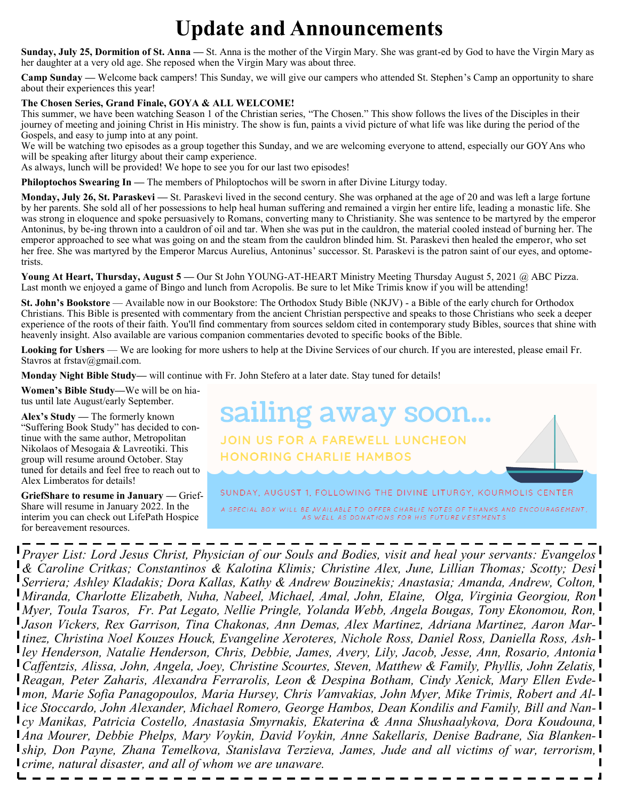# **Update and Announcements**

**Sunday, July 25, Dormition of St. Anna —** St. Anna is the mother of the Virgin Mary. She was grant-ed by God to have the Virgin Mary as her daughter at a very old age. She reposed when the Virgin Mary was about three.

**Camp Sunday —** Welcome back campers! This Sunday, we will give our campers who attended St. Stephen's Camp an opportunity to share about their experiences this year!

#### **The Chosen Series, Grand Finale, GOYA & ALL WELCOME!**

This summer, we have been watching Season 1 of the Christian series, "The Chosen." This show follows the lives of the Disciples in their journey of meeting and joining Christ in His ministry. The show is fun, paints a vivid picture of what life was like during the period of the Gospels, and easy to jump into at any point.

We will be watching two episodes as a group together this Sunday, and we are welcoming everyone to attend, especially our GOYAns who will be speaking after liturgy about their camp experience.

As always, lunch will be provided! We hope to see you for our last two episodes!

**Philoptochos Swearing In —** The members of Philoptochos will be sworn in after Divine Liturgy today.

**Monday, July 26, St. Paraskevi —** St. Paraskevi lived in the second century. She was orphaned at the age of 20 and was left a large fortune by her parents. She sold all of her possessions to help heal human suffering and remained a virgin her entire life, leading a monastic life. She was strong in eloquence and spoke persuasively to Romans, converting many to Christianity. She was sentence to be martyred by the emperor Antoninus, by be-ing thrown into a cauldron of oil and tar. When she was put in the cauldron, the material cooled instead of burning her. The emperor approached to see what was going on and the steam from the cauldron blinded him. St. Paraskevi then healed the emperor, who set her free. She was martyred by the Emperor Marcus Aurelius, Antoninus' successor. St. Paraskevi is the patron saint of our eyes, and optometrists.

**Young At Heart, Thursday, August 5 —** Our St John YOUNG-AT-HEART Ministry Meeting Thursday August 5, 2021 @ ABC Pizza. Last month we enjoyed a game of Bingo and lunch from Acropolis. Be sure to let Mike Trimis know if you will be attending!

**St. John's Bookstore** — Available now in our Bookstore: The Orthodox Study Bible (NKJV) - a Bible of the early church for Orthodox Christians. This Bible is presented with commentary from the ancient Christian perspective and speaks to those Christians who seek a deeper experience of the roots of their faith. You'll find commentary from sources seldom cited in contemporary study Bibles, sources that shine with heavenly insight. Also available are various companion commentaries devoted to specific books of the Bible.

**Looking for Ushers** — We are looking for more ushers to help at the Divine Services of our church. If you are interested, please email Fr. Stavros at frstav@gmail.com.

**Monday Night Bible Study—** will continue with Fr. John Stefero at a later date. Stay tuned for details!

**Women's Bible Study—**We will be on hiatus until late August/early September.

**Alex's Study —** The formerly known "Suffering Book Study" has decided to continue with the same author, Metropolitan Nikolaos of Mesogaia & Lavreotiki. This group will resume around October. Stay tuned for details and feel free to reach out to Alex Limberatos for details!

**GriefShare to resume in January —** Grief-Share will resume in January 2022. In the interim you can check out LifePath Hospice for bereavement resources.



SUNDAY, AUGUST 1, FOLLOWING THE DIVINE LITURGY, KOURMOLIS CENTER A SPECIAL BOX WILL BE AVAILABLE TO OFFER CHARLIE NOTES OF THANKS AND ENCOURAGEMENT AS WELL AS DONATIONS FOR HIS FUTURE VESTMENTS

*Prayer List: Lord Jesus Christ, Physician of our Souls and Bodies, visit and heal your servants: Evangelos & Caroline Critkas; Constantinos & Kalotina Klimis; Christine Alex, June, Lillian Thomas; Scotty; Desi Serriera; Ashley Kladakis; Dora Kallas, Kathy & Andrew Bouzinekis; Anastasia; Amanda, Andrew, Colton, Miranda, Charlotte Elizabeth, Nuha, Nabeel, Michael, Amal, John, Elaine, Olga, Virginia Georgiou, Ron Myer, Toula Tsaros, Fr. Pat Legato, Nellie Pringle, Yolanda Webb, Angela Bougas, Tony Ekonomou, Ron, Jason Vickers, Rex Garrison, Tina Chakonas, Ann Demas, Alex Martinez, Adriana Martinez, Aaron Martinez, Christina Noel Kouzes Houck, Evangeline Xeroteres, Nichole Ross, Daniel Ross, Daniella Ross, Ashley Henderson, Natalie Henderson, Chris, Debbie, James, Avery, Lily, Jacob, Jesse, Ann, Rosario, Antonia Caffentzis, Alissa, John, Angela, Joey, Christine Scourtes, Steven, Matthew & Family, Phyllis, John Zelatis, Reagan, Peter Zaharis, Alexandra Ferrarolis, Leon & Despina Botham, Cindy Xenick, Mary Ellen Evdemon, Marie Sofia Panagopoulos, Maria Hursey, Chris Vamvakias, John Myer, Mike Trimis, Robert and Alice Stoccardo, John Alexander, Michael Romero, George Hambos, Dean Kondilis and Family, Bill and Nancy Manikas, Patricia Costello, Anastasia Smyrnakis, Ekaterina & Anna Shushaalykova, Dora Koudouna, Ana Mourer, Debbie Phelps, Mary Voykin, David Voykin, Anne Sakellaris, Denise Badrane, Sia Blankenship, Don Payne, Zhana Temelkova, Stanislava Terzieva, James, Jude and all victims of war, terrorism, crime, natural disaster, and all of whom we are unaware.*